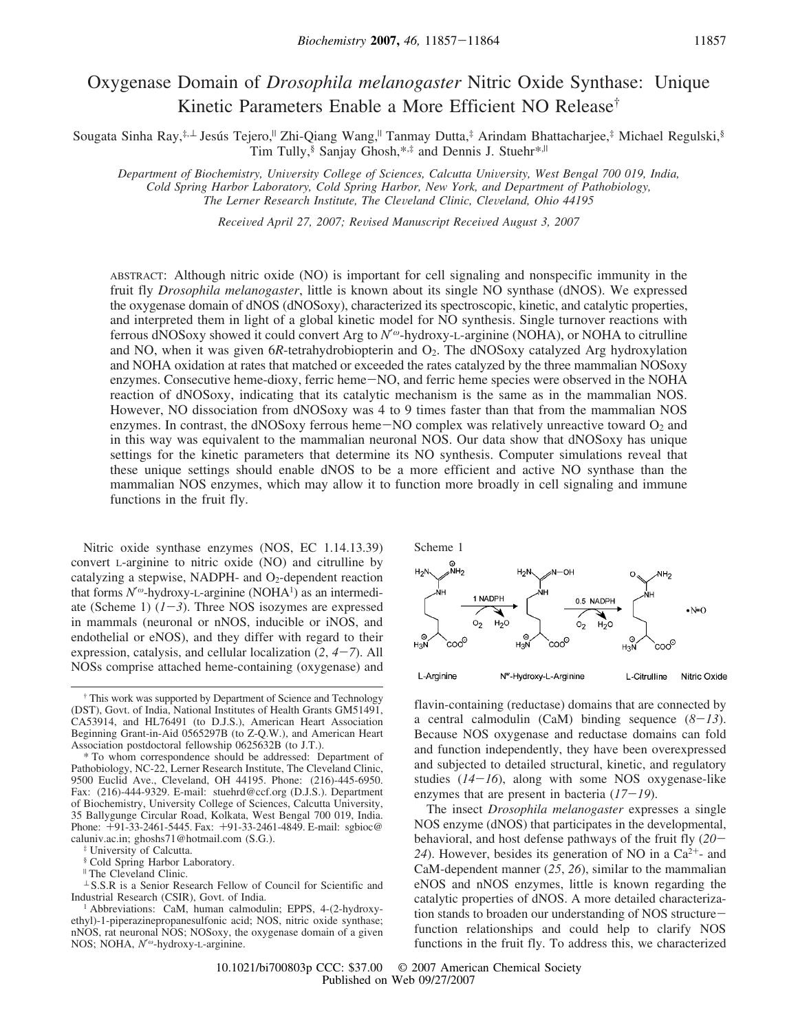# Oxygenase Domain of *Drosophila melanogaster* Nitric Oxide Synthase: Unique Kinetic Parameters Enable a More Efficient NO Release†

Sougata Sinha Ray,<sup>‡,⊥</sup> Jesús Tejero,<sup>||</sup> Zhi-Qiang Wang,<sup>||</sup> Tanmay Dutta,<sup>‡</sup> Arindam Bhattacharjee,<sup>‡</sup> Michael Regulski,<sup>§</sup> Tim Tully,  $\S$  Sanjay Ghosh,  $**$  and Dennis J. Stuehr $*$ ,<sup>||</sup>

*Department of Biochemistry, Uni*V*ersity College of Sciences, Calcutta Uni*V*ersity, West Bengal 700 019, India, Cold Spring Harbor Laboratory, Cold Spring Harbor, New York, and Department of Pathobiology, The Lerner Research Institute, The Cle*V*eland Clinic, Cle*V*eland, Ohio 44195*

*Recei*V*ed April 27, 2007; Re*V*ised Manuscript Recei*V*ed August 3, 2007*

ABSTRACT: Although nitric oxide (NO) is important for cell signaling and nonspecific immunity in the fruit fly *Drosophila melanogaster*, little is known about its single NO synthase (dNOS). We expressed the oxygenase domain of dNOS (dNOSoxy), characterized its spectroscopic, kinetic, and catalytic properties, and interpreted them in light of a global kinetic model for NO synthesis. Single turnover reactions with ferrous dNOSoxy showed it could convert Arg to *N*′ <sup>ω</sup>-hydroxy-L-arginine (NOHA), or NOHA to citrulline and NO, when it was given 6*R*-tetrahydrobiopterin and O<sub>2</sub>. The dNOSoxy catalyzed Arg hydroxylation and NOHA oxidation at rates that matched or exceeded the rates catalyzed by the three mammalian NOSoxy enzymes. Consecutive heme-dioxy, ferric heme-NO, and ferric heme species were observed in the NOHA reaction of dNOSoxy, indicating that its catalytic mechanism is the same as in the mammalian NOS. However, NO dissociation from dNOSoxy was 4 to 9 times faster than that from the mammalian NOS enzymes. In contrast, the dNOSoxy ferrous heme $-NO$  complex was relatively unreactive toward  $O<sub>2</sub>$  and in this way was equivalent to the mammalian neuronal NOS. Our data show that dNOSoxy has unique settings for the kinetic parameters that determine its NO synthesis. Computer simulations reveal that these unique settings should enable dNOS to be a more efficient and active NO synthase than the mammalian NOS enzymes, which may allow it to function more broadly in cell signaling and immune functions in the fruit fly.

Nitric oxide synthase enzymes (NOS, EC 1.14.13.39) convert L-arginine to nitric oxide (NO) and citrulline by catalyzing a stepwise, NADPH- and  $O<sub>2</sub>$ -dependent reaction that forms N'<sup>ω</sup>-hydroxy-L-arginine (NOHA<sup>1</sup>) as an intermediate (Scheme 1)  $(1-3)$ . Three NOS isozymes are expressed in mammals (neuronal or nNOS, inducible or iNOS, and endothelial or eNOS), and they differ with regard to their expression, catalysis, and cellular localization (*2*, *4*-*7*). All NOSs comprise attached heme-containing (oxygenase) and

‡ University of Calcutta.

<sup>"</sup> The Cleveland Clinic.

<sup>⊥</sup> S.S.R is a Senior Research Fellow of Council for Scientific and Industrial Research (CSIR), Govt. of India.



flavin-containing (reductase) domains that are connected by a central calmodulin (CaM) binding sequence  $(8-13)$ . Because NOS oxygenase and reductase domains can fold and function independently, they have been overexpressed and subjected to detailed structural, kinetic, and regulatory studies (*14*-*16*), along with some NOS oxygenase-like enzymes that are present in bacteria  $(17-19)$ .

The insect *Drosophila melanogaster* expresses a single NOS enzyme (dNOS) that participates in the developmental, behavioral, and host defense pathways of the fruit fly (*20*- 24). However, besides its generation of NO in a  $Ca^{2+}$ - and CaM-dependent manner (*25*, *26*), similar to the mammalian eNOS and nNOS enzymes, little is known regarding the catalytic properties of dNOS. A more detailed characterization stands to broaden our understanding of NOS structurefunction relationships and could help to clarify NOS functions in the fruit fly. To address this, we characterized

<sup>†</sup> This work was supported by Department of Science and Technology (DST), Govt. of India, National Institutes of Health Grants GM51491, CA53914, and HL76491 (to D.J.S.), American Heart Association Beginning Grant-in-Aid 0565297B (to Z-Q.W.), and American Heart Association postdoctoral fellowship 0625632B (to J.T.).

<sup>\*</sup> To whom correspondence should be addressed: Department of Pathobiology, NC-22, Lerner Research Institute, The Cleveland Clinic, 9500 Euclid Ave., Cleveland, OH 44195. Phone: (216)-445-6950. Fax: (216)-444-9329. E-mail: stuehrd@ccf.org (D.J.S.). Department of Biochemistry, University College of Sciences, Calcutta University, 35 Ballygunge Circular Road, Kolkata, West Bengal 700 019, India. Phone: +91-33-2461-5445. Fax: +91-33-2461-4849. E-mail: sgbioc@ caluniv.ac.in; ghoshs71@hotmail.com (S.G.).

<sup>§</sup> Cold Spring Harbor Laboratory.

<sup>&</sup>lt;sup>1</sup> Abbreviations: CaM, human calmodulin; EPPS, 4-(2-hydroxyethyl)-1-piperazinepropanesulfonic acid; NOS, nitric oxide synthase; nNOS, rat neuronal NOS; NOSoxy, the oxygenase domain of a given NOS; NOHA, *N*′ <sup>ω</sup>-hydroxy-L-arginine.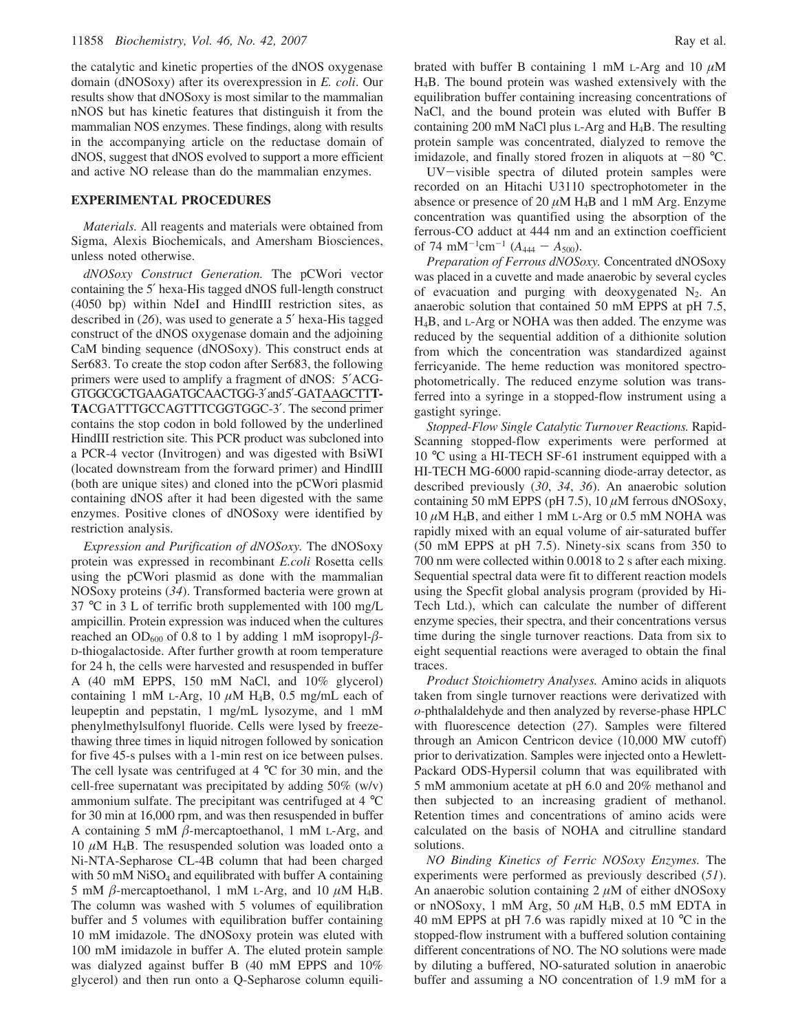the catalytic and kinetic properties of the dNOS oxygenase domain (dNOSoxy) after its overexpression in *E. coli*. Our results show that dNOSoxy is most similar to the mammalian nNOS but has kinetic features that distinguish it from the mammalian NOS enzymes. These findings, along with results in the accompanying article on the reductase domain of dNOS, suggest that dNOS evolved to support a more efficient and active NO release than do the mammalian enzymes.

### **EXPERIMENTAL PROCEDURES**

*Materials.* All reagents and materials were obtained from Sigma, Alexis Biochemicals, and Amersham Biosciences, unless noted otherwise.

*dNOSoxy Construct Generation.* The pCWori vector containing the 5′ hexa-His tagged dNOS full-length construct (4050 bp) within NdeI and HindIII restriction sites, as described in (*26*), was used to generate a 5′ hexa-His tagged construct of the dNOS oxygenase domain and the adjoining CaM binding sequence (dNOSoxy). This construct ends at Ser683. To create the stop codon after Ser683, the following primers were used to amplify a fragment of dNOS: 5′ACG-GTGGCGCTGAAGATGCAACTGG-3′and5′-GATAAGCTT**T-TA**CGATTTGCCAGTTTCGGTGGC-3′. The second primer contains the stop codon in bold followed by the underlined HindIII restriction site. This PCR product was subcloned into a PCR-4 vector (Invitrogen) and was digested with BsiWI (located downstream from the forward primer) and HindIII (both are unique sites) and cloned into the pCWori plasmid containing dNOS after it had been digested with the same enzymes. Positive clones of dNOSoxy were identified by restriction analysis.

*Expression and Purification of dNOSoxy.* The dNOSoxy protein was expressed in recombinant *E.coli* Rosetta cells using the pCWori plasmid as done with the mammalian NOSoxy proteins (*34*). Transformed bacteria were grown at 37 °C in 3 L of terrific broth supplemented with 100 mg/L ampicillin. Protein expression was induced when the cultures reached an OD<sub>600</sub> of 0.8 to 1 by adding 1 mM isopropyl- $\beta$ -D-thiogalactoside. After further growth at room temperature for 24 h, the cells were harvested and resuspended in buffer A (40 mM EPPS, 150 mM NaCl, and 10% glycerol) containing 1 mM L-Arg, 10  $\mu$ M H<sub>4</sub>B, 0.5 mg/mL each of leupeptin and pepstatin, 1 mg/mL lysozyme, and 1 mM phenylmethylsulfonyl fluoride. Cells were lysed by freezethawing three times in liquid nitrogen followed by sonication for five 45-s pulses with a 1-min rest on ice between pulses. The cell lysate was centrifuged at 4 °C for 30 min, and the cell-free supernatant was precipitated by adding 50% (w/v) ammonium sulfate. The precipitant was centrifuged at 4 °C for 30 min at 16,000 rpm, and was then resuspended in buffer A containing 5 mM  $\beta$ -mercaptoethanol, 1 mM L-Arg, and 10  $\mu$ M H<sub>4</sub>B. The resuspended solution was loaded onto a Ni-NTA-Sepharose CL-4B column that had been charged with 50 mM  $N$ iSO<sub>4</sub> and equilibrated with buffer A containing 5 mM  $\beta$ -mercaptoethanol, 1 mM L-Arg, and 10  $\mu$ M H<sub>4</sub>B. The column was washed with 5 volumes of equilibration buffer and 5 volumes with equilibration buffer containing 10 mM imidazole. The dNOSoxy protein was eluted with 100 mM imidazole in buffer A. The eluted protein sample was dialyzed against buffer B (40 mM EPPS and 10% glycerol) and then run onto a Q-Sepharose column equilibrated with buffer B containing 1 mM L-Arg and 10  $\mu$ M H4B. The bound protein was washed extensively with the equilibration buffer containing increasing concentrations of NaCl, and the bound protein was eluted with Buffer B containing 200 mM NaCl plus L-Arg and H4B. The resulting protein sample was concentrated, dialyzed to remove the imidazole, and finally stored frozen in aliquots at  $-80$  °C.

UV-visible spectra of diluted protein samples were recorded on an Hitachi U3110 spectrophotometer in the absence or presence of 20  $\mu$ M H<sub>4</sub>B and 1 mM Arg. Enzyme concentration was quantified using the absorption of the ferrous-CO adduct at 444 nm and an extinction coefficient of 74 mM<sup>-1</sup>cm<sup>-1</sup> ( $A_{444} - A_{500}$ ).

*Preparation of Ferrous dNOSoxy.* Concentrated dNOSoxy was placed in a cuvette and made anaerobic by several cycles of evacuation and purging with deoxygenated  $N_2$ . An anaerobic solution that contained 50 mM EPPS at pH 7.5, H4B, and L-Arg or NOHA was then added. The enzyme was reduced by the sequential addition of a dithionite solution from which the concentration was standardized against ferricyanide. The heme reduction was monitored spectrophotometrically. The reduced enzyme solution was transferred into a syringe in a stopped-flow instrument using a gastight syringe.

*Stopped-Flow Single Catalytic Turnover Reactions.* Rapid-Scanning stopped-flow experiments were performed at 10 °C using a HI-TECH SF-61 instrument equipped with a HI-TECH MG-6000 rapid-scanning diode-array detector, as described previously (*30*, *34*, *36*). An anaerobic solution containing 50 mM EPPS (pH 7.5),  $10 \mu$ M ferrous dNOSoxy,  $10 \mu$ M H<sub>4</sub>B, and either 1 mM L-Arg or 0.5 mM NOHA was rapidly mixed with an equal volume of air-saturated buffer (50 mM EPPS at pH 7.5). Ninety-six scans from 350 to 700 nm were collected within 0.0018 to 2 s after each mixing. Sequential spectral data were fit to different reaction models using the Specfit global analysis program (provided by Hi-Tech Ltd.), which can calculate the number of different enzyme species, their spectra, and their concentrations versus time during the single turnover reactions. Data from six to eight sequential reactions were averaged to obtain the final traces.

*Product Stoichiometry Analyses.* Amino acids in aliquots taken from single turnover reactions were derivatized with *o-*phthalaldehyde and then analyzed by reverse-phase HPLC with fluorescence detection (*27*). Samples were filtered through an Amicon Centricon device (10,000 MW cutoff) prior to derivatization. Samples were injected onto a Hewlett-Packard ODS-Hypersil column that was equilibrated with 5 mM ammonium acetate at pH 6.0 and 20% methanol and then subjected to an increasing gradient of methanol. Retention times and concentrations of amino acids were calculated on the basis of NOHA and citrulline standard solutions.

*NO Binding Kinetics of Ferric NOSoxy Enzymes.* The experiments were performed as previously described (*51*). An anaerobic solution containing  $2 \mu M$  of either dNOSoxy or nNOSoxy, 1 mM Arg, 50  $\mu$ M H<sub>4</sub>B, 0.5 mM EDTA in 40 mM EPPS at pH 7.6 was rapidly mixed at 10 °C in the stopped-flow instrument with a buffered solution containing different concentrations of NO. The NO solutions were made by diluting a buffered, NO-saturated solution in anaerobic buffer and assuming a NO concentration of 1.9 mM for a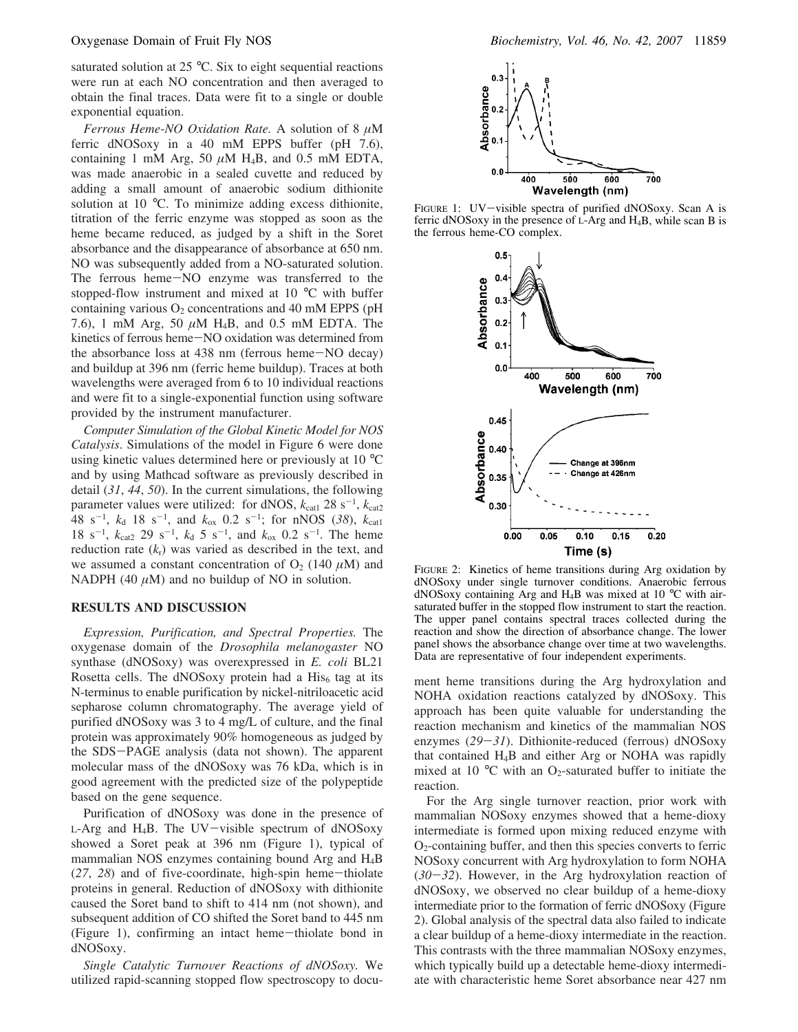saturated solution at 25 °C. Six to eight sequential reactions were run at each NO concentration and then averaged to obtain the final traces. Data were fit to a single or double exponential equation.

*Ferrous Heme*-*NO Oxidation Rate.* A solution of 8 µM ferric dNOSoxy in a 40 mM EPPS buffer (pH 7.6), containing 1 mM Arg, 50  $\mu$ M H<sub>4</sub>B, and 0.5 mM EDTA, was made anaerobic in a sealed cuvette and reduced by adding a small amount of anaerobic sodium dithionite solution at 10 °C. To minimize adding excess dithionite, titration of the ferric enzyme was stopped as soon as the heme became reduced, as judged by a shift in the Soret absorbance and the disappearance of absorbance at 650 nm. NO was subsequently added from a NO-saturated solution. The ferrous heme-NO enzyme was transferred to the stopped-flow instrument and mixed at 10 °C with buffer containing various  $O_2$  concentrations and 40 mM EPPS (pH 7.6), 1 mM Arg, 50  $\mu$ M H<sub>4</sub>B, and 0.5 mM EDTA. The kinetics of ferrous heme-NO oxidation was determined from the absorbance loss at 438 nm (ferrous heme-NO decay) and buildup at 396 nm (ferric heme buildup). Traces at both wavelengths were averaged from 6 to 10 individual reactions and were fit to a single-exponential function using software provided by the instrument manufacturer.

*Computer Simulation of the Global Kinetic Model for NOS Catalysis*. Simulations of the model in Figure 6 were done using kinetic values determined here or previously at 10 °C and by using Mathcad software as previously described in detail (*31*, *44*, *50*). In the current simulations, the following parameter values were utilized: for dNOS,  $k_{\text{cat1}}$  28 s<sup>-1</sup>,  $k_{\text{cat2}}$  $48 \text{ s}^{-1}$ ,  $k_d$  18 s<sup>-1</sup>, and  $k_{ox}$  0.2 s<sup>-1</sup>; for nNOS (38),  $k_{cat1}$ 18 s<sup>-1</sup>,  $k_{cat2}$  29 s<sup>-1</sup>,  $k_d$  5 s<sup>-1</sup>, and  $k_{ox}$  0.2 s<sup>-1</sup>. The heme reduction rate  $(k_r)$  was varied as described in the text, and we assumed a constant concentration of  $O_2$  (140  $\mu$ M) and NADPH (40  $\mu$ M) and no buildup of NO in solution.

### **RESULTS AND DISCUSSION**

*Expression, Purification, and Spectral Properties.* The oxygenase domain of the *Drosophila melanogaster* NO synthase (dNOSoxy) was overexpressed in *E. coli* BL21 Rosetta cells. The dNOSoxy protein had a  $His<sub>6</sub>$  tag at its N-terminus to enable purification by nickel-nitriloacetic acid sepharose column chromatography. The average yield of purified dNOSoxy was 3 to 4 mg/L of culture, and the final protein was approximately 90% homogeneous as judged by the SDS-PAGE analysis (data not shown). The apparent molecular mass of the dNOSoxy was 76 kDa, which is in good agreement with the predicted size of the polypeptide based on the gene sequence.

Purification of dNOSoxy was done in the presence of  $L$ -Arg and H<sub>4</sub>B. The UV-visible spectrum of dNOSoxy showed a Soret peak at 396 nm (Figure 1), typical of mammalian NOS enzymes containing bound Arg and H4B (*27*, *28*) and of five-coordinate, high-spin heme-thiolate proteins in general. Reduction of dNOSoxy with dithionite caused the Soret band to shift to 414 nm (not shown), and subsequent addition of CO shifted the Soret band to 445 nm (Figure 1), confirming an intact heme-thiolate bond in dNOSoxy.

*Single Catalytic Turno*V*er Reactions of dNOSoxy.* We utilized rapid-scanning stopped flow spectroscopy to docu-



FIGURE 1: UV-visible spectra of purified dNOSoxy. Scan A is ferric dNOSoxy in the presence of L-Arg and H4B, while scan B is the ferrous heme-CO complex.



FIGURE 2: Kinetics of heme transitions during Arg oxidation by dNOSoxy under single turnover conditions. Anaerobic ferrous dNOSoxy containing Arg and H4B was mixed at 10 °C with airsaturated buffer in the stopped flow instrument to start the reaction. The upper panel contains spectral traces collected during the reaction and show the direction of absorbance change. The lower panel shows the absorbance change over time at two wavelengths. Data are representative of four independent experiments.

ment heme transitions during the Arg hydroxylation and NOHA oxidation reactions catalyzed by dNOSoxy. This approach has been quite valuable for understanding the reaction mechanism and kinetics of the mammalian NOS enzymes (*29*-*31*). Dithionite-reduced (ferrous) dNOSoxy that contained H4B and either Arg or NOHA was rapidly mixed at 10  $\degree$ C with an O<sub>2</sub>-saturated buffer to initiate the reaction.

For the Arg single turnover reaction, prior work with mammalian NOSoxy enzymes showed that a heme-dioxy intermediate is formed upon mixing reduced enzyme with  $O<sub>2</sub>$ -containing buffer, and then this species converts to ferric NOSoxy concurrent with Arg hydroxylation to form NOHA (*30*-*32*). However, in the Arg hydroxylation reaction of dNOSoxy, we observed no clear buildup of a heme-dioxy intermediate prior to the formation of ferric dNOSoxy (Figure 2). Global analysis of the spectral data also failed to indicate a clear buildup of a heme-dioxy intermediate in the reaction. This contrasts with the three mammalian NOSoxy enzymes, which typically build up a detectable heme-dioxy intermediate with characteristic heme Soret absorbance near 427 nm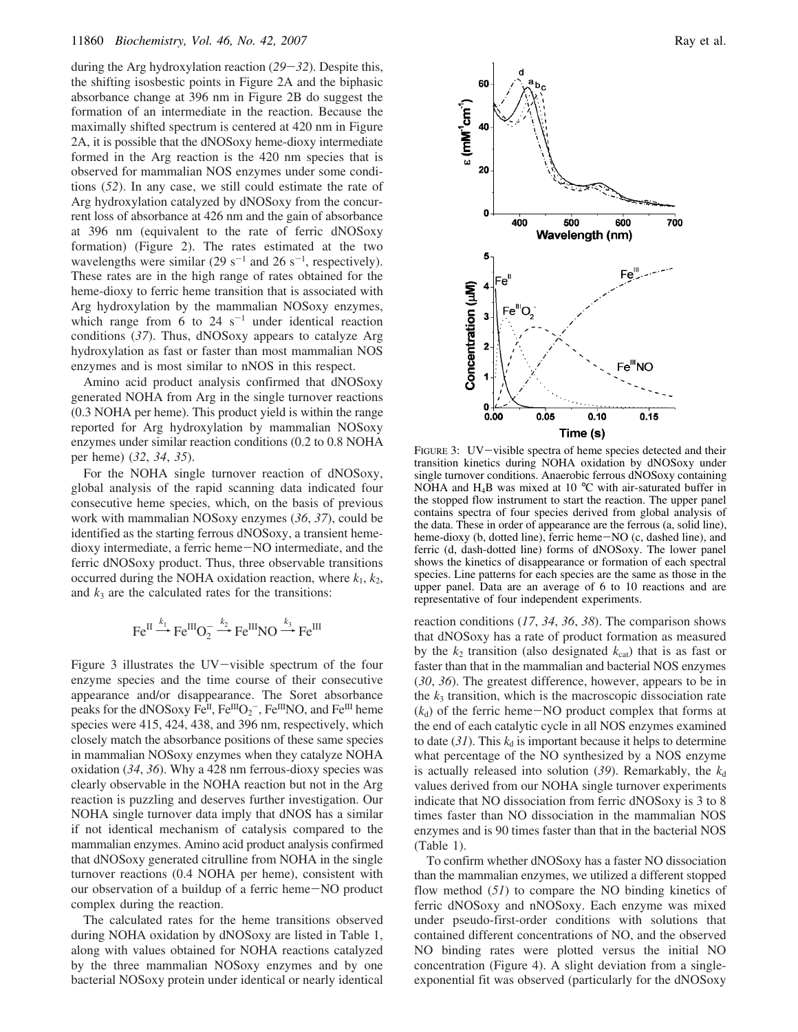during the Arg hydroxylation reaction (*29*-*32*). Despite this, the shifting isosbestic points in Figure 2A and the biphasic absorbance change at 396 nm in Figure 2B do suggest the formation of an intermediate in the reaction. Because the maximally shifted spectrum is centered at 420 nm in Figure 2A, it is possible that the dNOSoxy heme-dioxy intermediate formed in the Arg reaction is the 420 nm species that is observed for mammalian NOS enzymes under some conditions (*52*). In any case, we still could estimate the rate of Arg hydroxylation catalyzed by dNOSoxy from the concurrent loss of absorbance at 426 nm and the gain of absorbance at 396 nm (equivalent to the rate of ferric dNOSoxy formation) (Figure 2). The rates estimated at the two wavelengths were similar (29  $s^{-1}$  and 26  $s^{-1}$ , respectively). These rates are in the high range of rates obtained for the heme-dioxy to ferric heme transition that is associated with Arg hydroxylation by the mammalian NOSoxy enzymes, which range from 6 to  $24 \text{ s}^{-1}$  under identical reaction conditions (*37*). Thus, dNOSoxy appears to catalyze Arg hydroxylation as fast or faster than most mammalian NOS enzymes and is most similar to nNOS in this respect.

Amino acid product analysis confirmed that dNOSoxy generated NOHA from Arg in the single turnover reactions (0.3 NOHA per heme). This product yield is within the range reported for Arg hydroxylation by mammalian NOSoxy enzymes under similar reaction conditions (0.2 to 0.8 NOHA per heme) (*32*, *34*, *35*).

For the NOHA single turnover reaction of dNOSoxy, global analysis of the rapid scanning data indicated four consecutive heme species, which, on the basis of previous work with mammalian NOSoxy enzymes (*36*, *37*), could be identified as the starting ferrous dNOSoxy, a transient hemedioxy intermediate, a ferric heme-NO intermediate, and the ferric dNOSoxy product. Thus, three observable transitions occurred during the NOHA oxidation reaction, where  $k_1$ ,  $k_2$ , and  $k_3$  are the calculated rates for the transitions:

$$
\text{Fe}^{\text{II}} \xrightarrow{k_1} \text{Fe}^{\text{III}}\text{O}_2^- \xrightarrow{k_2} \text{Fe}^{\text{III}}\text{NO} \xrightarrow{k_3} \text{Fe}^{\text{III}}
$$

Figure 3 illustrates the UV-visible spectrum of the four enzyme species and the time course of their consecutive appearance and/or disappearance. The Soret absorbance peaks for the dNOSoxy  $\overline{Fe^{II}}$ ,  $\overline{Fe^{III}}O_2$ ,  $\overline{Fe^{III}}$ NO, and  $\overline{Fe^{III}}$  heme species were 415, 424, 438, and 396 nm, respectively, which closely match the absorbance positions of these same species in mammalian NOSoxy enzymes when they catalyze NOHA oxidation (*34*, *36*). Why a 428 nm ferrous-dioxy species was clearly observable in the NOHA reaction but not in the Arg reaction is puzzling and deserves further investigation. Our NOHA single turnover data imply that dNOS has a similar if not identical mechanism of catalysis compared to the mammalian enzymes. Amino acid product analysis confirmed that dNOSoxy generated citrulline from NOHA in the single turnover reactions (0.4 NOHA per heme), consistent with our observation of a buildup of a ferric heme-NO product complex during the reaction.

The calculated rates for the heme transitions observed during NOHA oxidation by dNOSoxy are listed in Table 1, along with values obtained for NOHA reactions catalyzed by the three mammalian NOSoxy enzymes and by one bacterial NOSoxy protein under identical or nearly identical



FIGURE 3: UV-visible spectra of heme species detected and their transition kinetics during NOHA oxidation by dNOSoxy under single turnover conditions. Anaerobic ferrous dNOSoxy containing NOHA and H<sub>4</sub>B was mixed at 10  $^{\circ}$ C with air-saturated buffer in the stopped flow instrument to start the reaction. The upper panel contains spectra of four species derived from global analysis of the data. These in order of appearance are the ferrous (a, solid line), heme-dioxy (b, dotted line), ferric heme-NO (c, dashed line), and ferric (d, dash-dotted line) forms of dNOSoxy. The lower panel shows the kinetics of disappearance or formation of each spectral species. Line patterns for each species are the same as those in the upper panel. Data are an average of 6 to 10 reactions and are representative of four independent experiments.

reaction conditions (*17*, *34*, *36*, *38*). The comparison shows that dNOSoxy has a rate of product formation as measured by the  $k_2$  transition (also designated  $k_{cat}$ ) that is as fast or faster than that in the mammalian and bacterial NOS enzymes (*30*, *36*). The greatest difference, however, appears to be in the  $k_3$  transition, which is the macroscopic dissociation rate  $(k_d)$  of the ferric heme $-NO$  product complex that forms at the end of each catalytic cycle in all NOS enzymes examined to date  $(31)$ . This  $k_d$  is important because it helps to determine what percentage of the NO synthesized by a NOS enzyme is actually released into solution  $(39)$ . Remarkably, the  $k_d$ values derived from our NOHA single turnover experiments indicate that NO dissociation from ferric dNOSoxy is 3 to 8 times faster than NO dissociation in the mammalian NOS enzymes and is 90 times faster than that in the bacterial NOS (Table 1).

To confirm whether dNOSoxy has a faster NO dissociation than the mammalian enzymes, we utilized a different stopped flow method (*51*) to compare the NO binding kinetics of ferric dNOSoxy and nNOSoxy. Each enzyme was mixed under pseudo-first-order conditions with solutions that contained different concentrations of NO, and the observed NO binding rates were plotted versus the initial NO concentration (Figure 4). A slight deviation from a singleexponential fit was observed (particularly for the dNOSoxy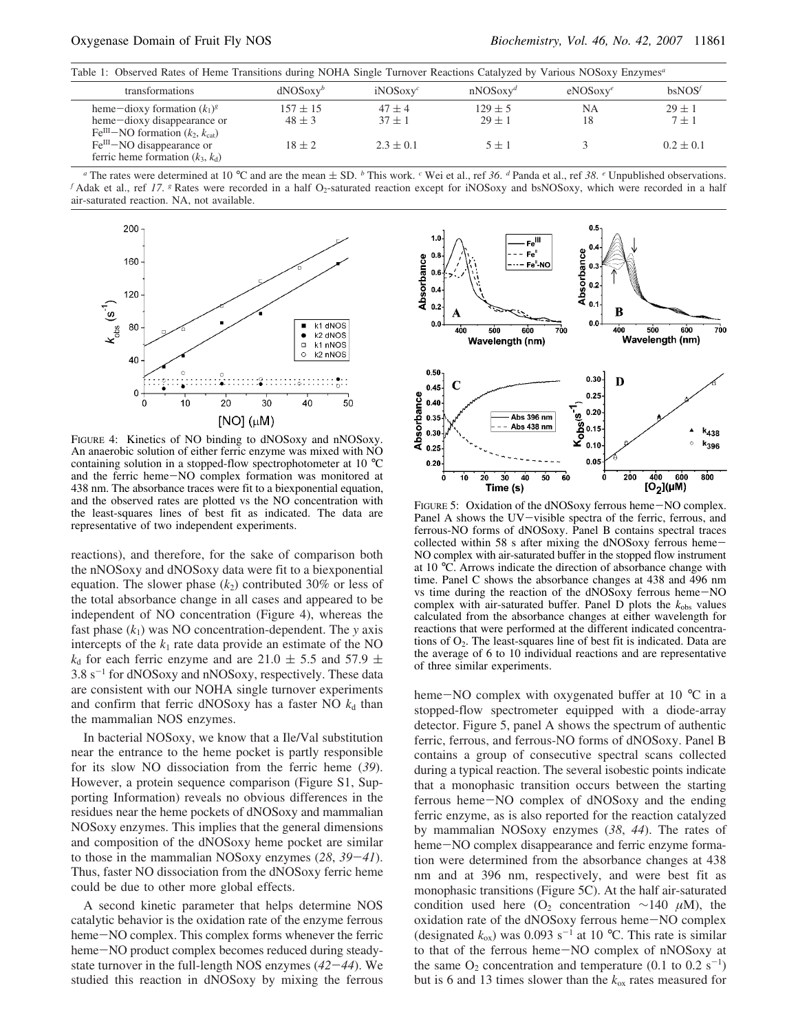Table 1: Observed Rates of Heme Transitions during NOHA Single Turnover Reactions Catalyzed by Various NOSoxy Enzymes*<sup>a</sup>*

| transformations                                                                                                                                                               | $dNOSoxy^b$                              | $iNOSoxy^c$                           | $nNOSoxy^d$                          | eNOSoxy <sup>e</sup> | <b>bsNOS</b>                             |
|-------------------------------------------------------------------------------------------------------------------------------------------------------------------------------|------------------------------------------|---------------------------------------|--------------------------------------|----------------------|------------------------------------------|
| heme-dioxy formation $(k_1)^g$<br>heme-dioxy disappearance or<br>$FeIII-NO$ formation $(k_2, k_{cat})$<br>$FeIII - NO$ disappearance or<br>ferric heme formation $(k_3, k_d)$ | $157 \pm 15$<br>$48 \pm 3$<br>$18 \pm 2$ | $47 + 4$<br>$37 + 1$<br>$2.3 \pm 0.1$ | $129 \pm 5$<br>$29 \pm 1$<br>$5 + 1$ | NΑ                   | $29 \pm 1$<br>$7 \pm 1$<br>$0.2 \pm 0.1$ |
|                                                                                                                                                                               |                                          |                                       |                                      |                      |                                          |

*a* The rates were determined at 10 °C and are the mean  $\pm$  SD. *b* This work. *c* Wei et al., ref 36. *d* Panda et al., ref 38. *e* Unpublished observations. *f* Adak et al., ref 17. <sup>*g*</sup> Rates were recorded in a half O<sub>2</sub>-saturated reaction except for iNOSoxy and bsNOSoxy, which were recorded in a half air-saturated reaction. NA, not available.



FIGURE 4: Kinetics of NO binding to dNOSoxy and nNOSoxy. An anaerobic solution of either ferric enzyme was mixed with NO containing solution in a stopped-flow spectrophotometer at 10 °C and the ferric heme-NO complex formation was monitored at 438 nm. The absorbance traces were fit to a biexponential equation, and the observed rates are plotted vs the NO concentration with the least-squares lines of best fit as indicated. The data are representative of two independent experiments.

reactions), and therefore, for the sake of comparison both the nNOSoxy and dNOSoxy data were fit to a biexponential equation. The slower phase  $(k_2)$  contributed 30% or less of the total absorbance change in all cases and appeared to be independent of NO concentration (Figure 4), whereas the fast phase (*k*1) was NO concentration-dependent. The *y* axis intercepts of the  $k_1$  rate data provide an estimate of the NO  $k_d$  for each ferric enzyme and are 21.0  $\pm$  5.5 and 57.9  $\pm$  $3.8 \text{ s}^{-1}$  for dNOSoxy and nNOSoxy, respectively. These data are consistent with our NOHA single turnover experiments and confirm that ferric dNOSoxy has a faster NO  $k_d$  than the mammalian NOS enzymes.

In bacterial NOSoxy, we know that a Ile/Val substitution near the entrance to the heme pocket is partly responsible for its slow NO dissociation from the ferric heme (*39*). However, a protein sequence comparison (Figure S1, Supporting Information) reveals no obvious differences in the residues near the heme pockets of dNOSoxy and mammalian NOSoxy enzymes. This implies that the general dimensions and composition of the dNOSoxy heme pocket are similar to those in the mammalian NOSoxy enzymes (*28*, *39*-*41*). Thus, faster NO dissociation from the dNOSoxy ferric heme could be due to other more global effects.

A second kinetic parameter that helps determine NOS catalytic behavior is the oxidation rate of the enzyme ferrous heme-NO complex. This complex forms whenever the ferric heme-NO product complex becomes reduced during steadystate turnover in the full-length NOS enzymes (*42*-*44*). We studied this reaction in dNOSoxy by mixing the ferrous



FIGURE 5: Oxidation of the dNOSoxy ferrous heme-NO complex. Panel A shows the UV-visible spectra of the ferric, ferrous, and ferrous-NO forms of dNOSoxy. Panel B contains spectral traces collected within 58 s after mixing the dNOSoxy ferrous heme-NO complex with air-saturated buffer in the stopped flow instrument at 10 °C. Arrows indicate the direction of absorbance change with time. Panel C shows the absorbance changes at 438 and 496 nm vs time during the reaction of the dNOSoxy ferrous heme-NO complex with air-saturated buffer. Panel D plots the  $k_{obs}$  values calculated from the absorbance changes at either wavelength for reactions that were performed at the different indicated concentrations of  $O_2$ . The least-squares line of best fit is indicated. Data are the average of 6 to 10 individual reactions and are representative of three similar experiments.

heme-NO complex with oxygenated buffer at 10 °C in a stopped-flow spectrometer equipped with a diode-array detector. Figure 5, panel A shows the spectrum of authentic ferric, ferrous, and ferrous-NO forms of dNOSoxy. Panel B contains a group of consecutive spectral scans collected during a typical reaction. The several isobestic points indicate that a monophasic transition occurs between the starting ferrous heme-NO complex of dNOSoxy and the ending ferric enzyme, as is also reported for the reaction catalyzed by mammalian NOSoxy enzymes (*38*, *44*). The rates of heme-NO complex disappearance and ferric enzyme formation were determined from the absorbance changes at 438 nm and at 396 nm, respectively, and were best fit as monophasic transitions (Figure 5C). At the half air-saturated condition used here (O<sub>2</sub> concentration ∼140  $\mu$ M), the oxidation rate of the dNOSoxy ferrous heme-NO complex (designated  $k_{ox}$ ) was 0.093 s<sup>-1</sup> at 10 °C. This rate is similar to that of the ferrous heme-NO complex of nNOSoxy at the same  $O_2$  concentration and temperature (0.1 to 0.2 s<sup>-1</sup>) but is 6 and 13 times slower than the *k*ox rates measured for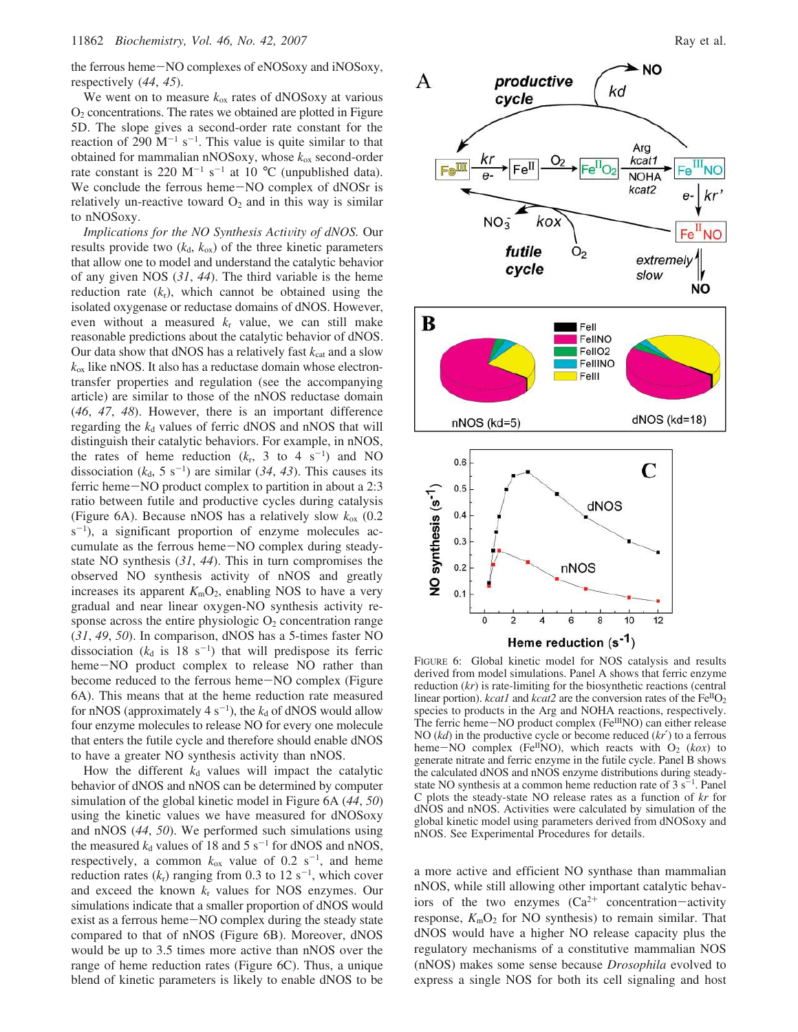the ferrous heme-NO complexes of eNOSoxy and iNOSoxy, respectively (*44*, *45*).

We went on to measure  $k_{ox}$  rates of dNOSoxy at various  $O<sub>2</sub>$  concentrations. The rates we obtained are plotted in Figure 5D. The slope gives a second-order rate constant for the reaction of 290  $M^{-1}$  s<sup>-1</sup>. This value is quite similar to that obtained for mammalian nNOSoxy, whose *k*ox second-order rate constant is 220 M<sup>-1</sup> s<sup>-1</sup> at 10 °C (unpublished data). We conclude the ferrous heme-NO complex of dNOSr is relatively un-reactive toward  $O_2$  and in this way is similar to nNOSoxy.

*Implications for the NO Synthesis Activity of dNOS.* Our results provide two  $(k_d, k_{ox})$  of the three kinetic parameters that allow one to model and understand the catalytic behavior of any given NOS (*31*, *44*). The third variable is the heme reduction rate  $(k_r)$ , which cannot be obtained using the isolated oxygenase or reductase domains of dNOS. However, even without a measured *k*<sup>r</sup> value, we can still make reasonable predictions about the catalytic behavior of dNOS. Our data show that dNOS has a relatively fast  $k_{cat}$  and a slow  $k_{ox}$  like nNOS. It also has a reductase domain whose electrontransfer properties and regulation (see the accompanying article) are similar to those of the nNOS reductase domain (*46*, *47*, *48*). However, there is an important difference regarding the  $k_d$  values of ferric dNOS and nNOS that will distinguish their catalytic behaviors. For example, in nNOS, the rates of heme reduction  $(k_r, 3 \text{ to } 4 \text{ s}^{-1})$  and NO dissociation  $(k_d, 5 \text{ s}^{-1})$  are similar (34, 43). This causes its ferric heme-NO product complex to partition in about a 2:3 ratio between futile and productive cycles during catalysis (Figure 6A). Because nNOS has a relatively slow  $k_{ox}$  (0.2)  $s^{-1}$ ), a significant proportion of enzyme molecules accumulate as the ferrous heme-NO complex during steadystate NO synthesis (*31*, *44*). This in turn compromises the observed NO synthesis activity of nNOS and greatly increases its apparent  $K_{\rm m}O_2$ , enabling NOS to have a very gradual and near linear oxygen-NO synthesis activity response across the entire physiologic  $O_2$  concentration range (*31*, *49*, *50*). In comparison, dNOS has a 5-times faster NO dissociation  $(k_d$  is  $18 \text{ s}^{-1})$  that will predispose its ferric heme-NO product complex to release NO rather than become reduced to the ferrous heme-NO complex (Figure 6A). This means that at the heme reduction rate measured for nNOS (approximately  $4 s^{-1}$ ), the  $k_d$  of dNOS would allow four enzyme molecules to release NO for every one molecule that enters the futile cycle and therefore should enable dNOS to have a greater NO synthesis activity than nNOS.

How the different  $k_d$  values will impact the catalytic behavior of dNOS and nNOS can be determined by computer simulation of the global kinetic model in Figure 6A (*44*, *50*) using the kinetic values we have measured for dNOSoxy and nNOS (*44*, *50*). We performed such simulations using the measured  $k_d$  values of 18 and 5 s<sup>-1</sup> for dNOS and nNOS, respectively, a common  $k_{ox}$  value of 0.2 s<sup>-1</sup>, and heme reduction rates  $(k_r)$  ranging from 0.3 to 12 s<sup>-1</sup>, which cover and exceed the known  $k_r$  values for NOS enzymes. Our simulations indicate that a smaller proportion of dNOS would exist as a ferrous heme-NO complex during the steady state compared to that of nNOS (Figure 6B). Moreover, dNOS would be up to 3.5 times more active than nNOS over the range of heme reduction rates (Figure 6C). Thus, a unique blend of kinetic parameters is likely to enable dNOS to be



FIGURE 6: Global kinetic model for NOS catalysis and results derived from model simulations. Panel A shows that ferric enzyme reduction (*kr*) is rate-limiting for the biosynthetic reactions (central linear portion). *kcat1* and *kcat2* are the conversion rates of the  $Fe^{II}O<sub>2</sub>$ species to products in the Arg and NOHA reactions, respectively. The ferric heme-NO product complex (Fe<sup>III</sup>NO) can either release NO (*kd*) in the productive cycle or become reduced (*kr*′) to a ferrous heme-NO complex (Fe<sup>II</sup>NO), which reacts with O<sub>2</sub> (kox) to generate nitrate and ferric enzyme in the futile cycle. Panel B shows the calculated dNOS and nNOS enzyme distributions during steadystate NO synthesis at a common heme reduction rate of  $3 s<sup>-1</sup>$ . Panel C plots the steady-state NO release rates as a function of *kr* for dNOS and nNOS. Activities were calculated by simulation of the global kinetic model using parameters derived from dNOSoxy and nNOS. See Experimental Procedures for details.

a more active and efficient NO synthase than mammalian nNOS, while still allowing other important catalytic behaviors of the two enzymes  $(Ca^{2+}$  concentration-activity response,  $K_{\text{m}}O_2$  for NO synthesis) to remain similar. That dNOS would have a higher NO release capacity plus the regulatory mechanisms of a constitutive mammalian NOS (nNOS) makes some sense because *Drosophila* evolved to express a single NOS for both its cell signaling and host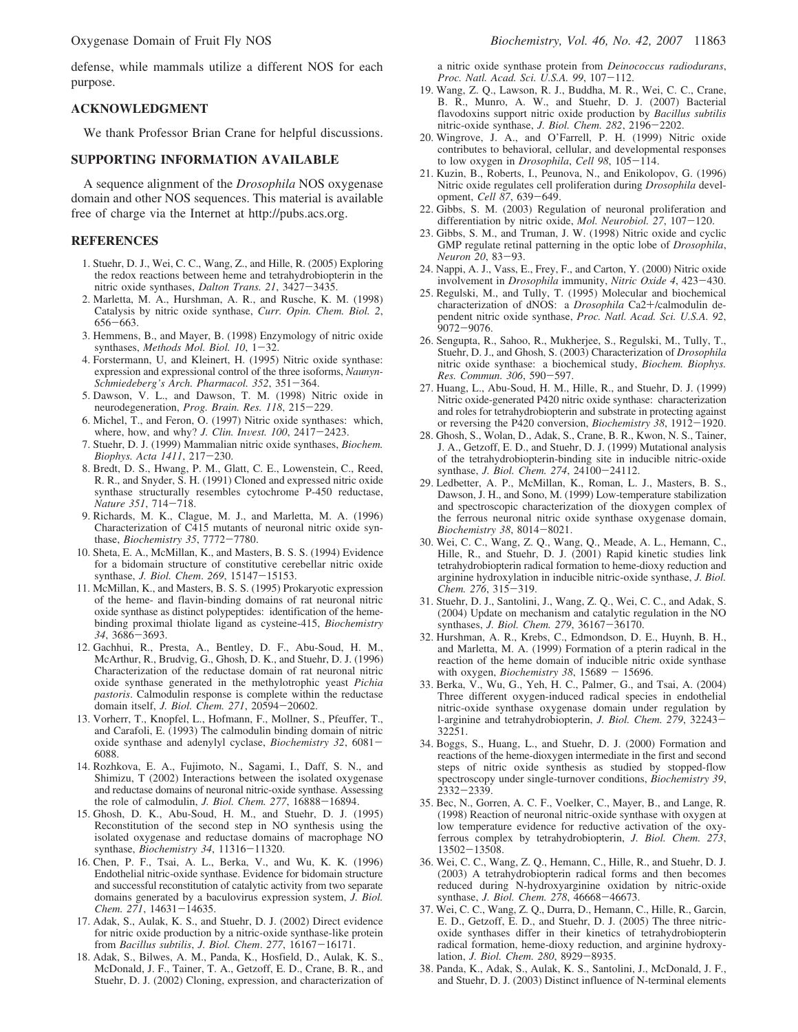defense, while mammals utilize a different NOS for each purpose.

#### **ACKNOWLEDGMENT**

We thank Professor Brian Crane for helpful discussions.

#### **SUPPORTING INFORMATION AVAILABLE**

A sequence alignment of the *Drosophila* NOS oxygenase domain and other NOS sequences. This material is available free of charge via the Internet at http://pubs.acs.org.

## **REFERENCES**

- 1. Stuehr, D. J., Wei, C. C., Wang, Z., and Hille, R. (2005) Exploring the redox reactions between heme and tetrahydrobiopterin in the nitric oxide synthases, *Dalton Trans. 21*, 3427-3435.
- 2. Marletta, M. A., Hurshman, A. R., and Rusche, K. M. (1998) Catalysis by nitric oxide synthase, *Curr. Opin. Chem. Biol. 2*, 656-663.
- 3. Hemmens, B., and Mayer, B. (1998) Enzymology of nitric oxide synthases, *Methods Mol. Biol. 10*, 1-32.
- 4. Forstermann, U, and Kleinert, H. (1995) Nitric oxide synthase: expression and expressional control of the three isoforms, *Naunyn-Schmiedeberg's Arch. Pharmacol. 352*, 351-364.
- 5. Dawson, V. L., and Dawson, T. M. (1998) Nitric oxide in neurodegeneration, *Prog. Brain. Res. 118*, 215-229.
- 6. Michel, T., and Feron, O. (1997) Nitric oxide synthases: which, where, how, and why? *J. Clin. In*V*est. 100*, 2417-2423.
- 7. Stuehr, D. J. (1999) Mammalian nitric oxide synthases, *Biochem. Biophys. Acta 1411*, 217-230.
- 8. Bredt, D. S., Hwang, P. M., Glatt, C. E., Lowenstein, C., Reed, R. R., and Snyder, S. H. (1991) Cloned and expressed nitric oxide synthase structurally resembles cytochrome P-450 reductase, *Nature 351*, 714-718.
- 9. Richards, M. K., Clague, M. J., and Marletta, M. A. (1996) Characterization of C415 mutants of neuronal nitric oxide synthase, *Biochemistry 35*, 7772-7780.
- 10. Sheta, E. A., McMillan, K., and Masters, B. S. S. (1994) Evidence for a bidomain structure of constitutive cerebellar nitric oxide synthase, *J. Biol. Chem*. *269*, 15147-15153.
- 11. McMillan, K., and Masters, B. S. S. (1995) Prokaryotic expression of the heme- and flavin-binding domains of rat neuronal nitric oxide synthase as distinct polypeptides: identification of the hemebinding proximal thiolate ligand as cysteine-415, *Biochemistry 34*, 3686-3693.
- 12. Gachhui, R., Presta, A., Bentley, D. F., Abu-Soud, H. M., McArthur, R., Brudvig, G., Ghosh, D. K., and Stuehr, D. J. (1996) Characterization of the reductase domain of rat neuronal nitric oxide synthase generated in the methylotrophic yeast *Pichia pastoris*. Calmodulin response is complete within the reductase domain itself, *J. Biol. Chem. 271*, 20594-20602.
- 13. Vorherr, T., Knopfel, L., Hofmann, F., Mollner, S., Pfeuffer, T., and Carafoli, E. (1993) The calmodulin binding domain of nitric oxide synthase and adenylyl cyclase, *Biochemistry 32*, 6081- 6088.
- 14. Rozhkova, E. A., Fujimoto, N., Sagami, I., Daff, S. N., and Shimizu, T (2002) Interactions between the isolated oxygenase and reductase domains of neuronal nitric-oxide synthase. Assessing the role of calmodulin, *J. Biol. Chem. 277*, 16888-16894.
- 15. Ghosh, D. K., Abu-Soud, H. M., and Stuehr, D. J. (1995) Reconstitution of the second step in NO synthesis using the isolated oxygenase and reductase domains of macrophage NO synthase, *Biochemistry 34*, 11316-11320.
- 16. Chen, P. F., Tsai, A. L., Berka, V., and Wu, K. K. (1996) Endothelial nitric-oxide synthase. Evidence for bidomain structure and successful reconstitution of catalytic activity from two separate domains generated by a baculovirus expression system, *J. Biol. Chem. 271*, 14631-14635.
- 17. Adak, S., Aulak, K. S., and Stuehr, D. J. (2002) Direct evidence for nitric oxide production by a nitric-oxide synthase-like protein from *Bacillus subtilis*, *J. Biol. Chem*. *277*, 16167-16171.
- 18. Adak, S., Bilwes, A. M., Panda, K., Hosfield, D., Aulak, K. S., McDonald, J. F., Tainer, T. A., Getzoff, E. D., Crane, B. R., and Stuehr, D. J. (2002) Cloning, expression, and characterization of

a nitric oxide synthase protein from *Deinococcus radiodurans*, *Proc. Natl. Acad. Sci. U.S.A. 99*, 107-112.

- 19. Wang, Z. Q., Lawson, R. J., Buddha, M. R., Wei, C. C., Crane, B. R., Munro, A. W., and Stuehr, D. J. (2007) Bacterial flavodoxins support nitric oxide production by *Bacillus subtilis* nitric-oxide synthase, *J. Biol. Chem. 282*, 2196-2202.
- 20. Wingrove, J. A., and O'Farrell, P. H. (1999) Nitric oxide contributes to behavioral, cellular, and developmental responses to low oxygen in *Drosophila*, *Cell 98*, 105-114.
- 21. Kuzin, B., Roberts, I., Peunova, N., and Enikolopov, G. (1996) Nitric oxide regulates cell proliferation during *Drosophila* development, *Cell 87*, 639-649.
- 22. Gibbs, S. M. (2003) Regulation of neuronal proliferation and differentiation by nitric oxide, *Mol. Neurobiol. 27*, 107-120.
- 23. Gibbs, S. M., and Truman, J. W. (1998) Nitric oxide and cyclic GMP regulate retinal patterning in the optic lobe of *Drosophila*, *Neuron 20*, 83-93.
- 24. Nappi, A. J., Vass, E., Frey, F., and Carton, Y. (2000) Nitric oxide involvement in *Drosophila* immunity, *Nitric Oxide 4*, 423-430.
- 25. Regulski, M., and Tully, T. (1995) Molecular and biochemical characterization of dNOS: a *Drosophila* Ca2+/calmodulin dependent nitric oxide synthase, *Proc. Natl. Acad. Sci. U.S.A. 92*, 9072-9076.
- 26. Sengupta, R., Sahoo, R., Mukherjee, S., Regulski, M., Tully, T., Stuehr, D. J., and Ghosh, S. (2003) Characterization of *Drosophila* nitric oxide synthase: a biochemical study, *Biochem. Biophys. Res. Commun. 306*, 590-597.
- 27. Huang, L., Abu-Soud, H. M., Hille, R., and Stuehr, D. J. (1999) Nitric oxide-generated P420 nitric oxide synthase: characterization and roles for tetrahydrobiopterin and substrate in protecting against or reversing the P420 conversion, *Biochemistry 38*, 1912-1920.
- 28. Ghosh, S., Wolan, D., Adak, S., Crane, B. R., Kwon, N. S., Tainer, J. A., Getzoff, E. D., and Stuehr, D. J. (1999) Mutational analysis of the tetrahydrobiopterin-binding site in inducible nitric-oxide synthase, *J. Biol. Chem. 274*, 24100-24112.
- 29. Ledbetter, A. P., McMillan, K., Roman, L. J., Masters, B. S., Dawson, J. H., and Sono, M. (1999) Low-temperature stabilization and spectroscopic characterization of the dioxygen complex of the ferrous neuronal nitric oxide synthase oxygenase domain, *Biochemistry 38*, 8014-8021.
- 30. Wei, C. C., Wang, Z. Q., Wang, Q., Meade, A. L., Hemann, C., Hille, R., and Stuehr, D. J. (2001) Rapid kinetic studies link tetrahydrobiopterin radical formation to heme-dioxy reduction and arginine hydroxylation in inducible nitric-oxide synthase, *J. Biol. Chem. 276*, 315-319.
- 31. Stuehr, D. J., Santolini, J., Wang, Z. Q., Wei, C. C., and Adak, S. (2004) Update on mechanism and catalytic regulation in the NO synthases, *J. Biol. Chem. 279*, 36167-36170.
- 32. Hurshman, A. R., Krebs, C., Edmondson, D. E., Huynh, B. H., and Marletta, M. A. (1999) Formation of a pterin radical in the reaction of the heme domain of inducible nitric oxide synthase with oxygen, *Biochemistry* 38, 15689 - 15696.
- 33. Berka, V., Wu, G., Yeh, H. C., Palmer, G., and Tsai, A. (2004) Three different oxygen-induced radical species in endothelial nitric-oxide synthase oxygenase domain under regulation by l-arginine and tetrahydrobiopterin, *J. Biol. Chem. 279*, 32243- 32251.
- 34. Boggs, S., Huang, L., and Stuehr, D. J. (2000) Formation and reactions of the heme-dioxygen intermediate in the first and second steps of nitric oxide synthesis as studied by stopped-flow spectroscopy under single-turnover conditions, *Biochemistry 39*, 2332-2339.
- 35. Bec, N., Gorren, A. C. F., Voelker, C., Mayer, B., and Lange, R. (1998) Reaction of neuronal nitric-oxide synthase with oxygen at low temperature evidence for reductive activation of the oxyferrous complex by tetrahydrobiopterin, *J. Biol. Chem. 273*,  $13502 - 13508$ .
- 36. Wei, C. C., Wang, Z. Q., Hemann, C., Hille, R., and Stuehr, D. J. (2003) A tetrahydrobiopterin radical forms and then becomes reduced during N-hydroxyarginine oxidation by nitric-oxide synthase, *J. Biol. Chem. 278*, 46668-46673.
- 37. Wei, C. C., Wang, Z. Q., Durra, D., Hemann, C., Hille, R., Garcin, E. D., Getzoff, E. D., and Stuehr, D. J. (2005) The three nitricoxide synthases differ in their kinetics of tetrahydrobiopterin radical formation, heme-dioxy reduction, and arginine hydroxylation, *J. Biol. Chem. 280*, 8929-8935.
- 38. Panda, K., Adak, S., Aulak, K. S., Santolini, J., McDonald, J. F., and Stuehr, D. J. (2003) Distinct influence of N-terminal elements